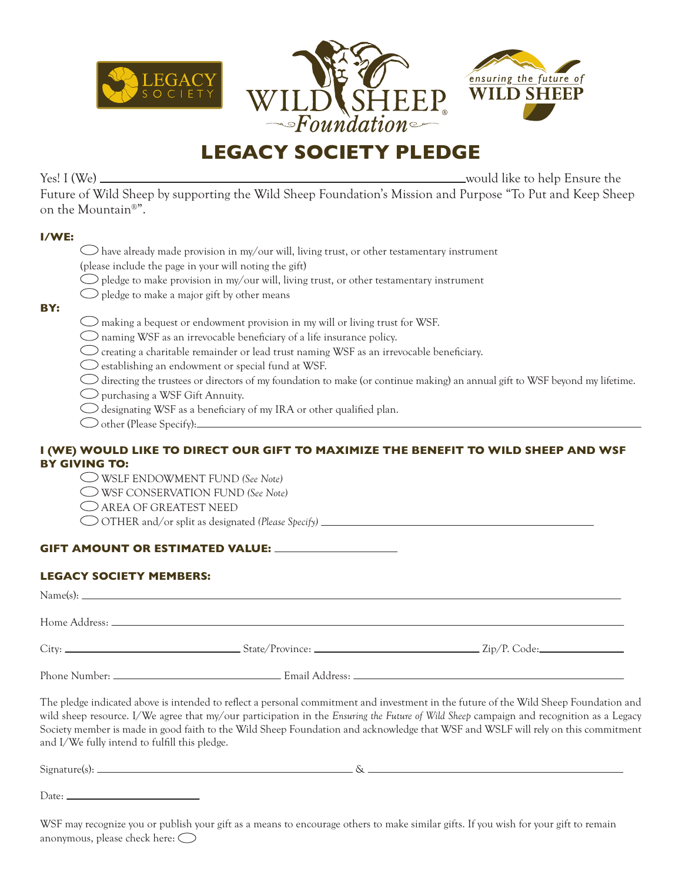

# **LEGACY SOCIETY PLEDGE**

Yes! I (We) would like to help Ensure the

Future of Wild Sheep by supporting the Wild Sheep Foundation's Mission and Purpose "To Put and Keep Sheep on the Mountain®".

#### **I/WE:**

**BY:**

| $\bigcirc$ have already made provision in my/our will, living trust, or other testamentary instrument                         |
|-------------------------------------------------------------------------------------------------------------------------------|
| (please include the page in your will noting the gift)                                                                        |
| $\bigcirc$ pledge to make provision in my/our will, living trust, or other testamentary instrument                            |
| $\bigcirc$ pledge to make a major gift by other means                                                                         |
| $\bigcirc$ making a bequest or endowment provision in my will or living trust for WSF.                                        |
| $\bigcirc$ naming WSF as an irrevocable beneficiary of a life insurance policy.                                               |
| $\bigcirc$ creating a charitable remainder or lead trust naming WSF as an irrevocable beneficiary.                            |
| $\bigcirc$ establishing an endowment or special fund at WSF.                                                                  |
| O directing the trustees or directors of my foundation to make (or continue making) an annual gift to WSF beyond my lifetime. |

purchasing a WSF Gift Annuity.

- $\bigcirc$  designating WSF as a beneficiary of my IRA or other qualified plan.
- O other (Please Specify):

## **I (WE) WOULD LIKE TO DIRECT OUR GIFT TO MAXIMIZE THE BENEFIT TO WILD SHEEP AND WSF BY GIVING TO:**

WSLF ENDOWMENT FUND *(See Note)*

WSF CONSERVATION FUND *(See Note)*

- AREA OF GREATEST NEED
- OTHER and/or split as designated *(Please Specify)*

### **GIFT AMOUNT OR ESTIMATED VALUE:**

#### **LEGACY SOCIETY MEMBERS:**

| City: | $\text{State/Province:}$ $\text{2ip/P. Code:}$ |
|-------|------------------------------------------------|
|       |                                                |

The pledge indicated above is intended to reflect a personal commitment and investment in the future of the Wild Sheep Foundation and wild sheep resource. I/We agree that my/our participation in the *Ensuring the Future of Wild Sheep* campaign and recognition as a Legacy Society member is made in good faith to the Wild Sheep Foundation and acknowledge that WSF and WSLF will rely on this commitment and I/We fully intend to fulfill this pledge.

| $\sim$ $\sim$<br>$S1$ gna<br>гнге<br>. . | . . |
|------------------------------------------|-----|
|                                          |     |

Date: \_

WSF may recognize you or publish your gift as a means to encourage others to make similar gifts. If you wish for your gift to remain anonymous, please check here: